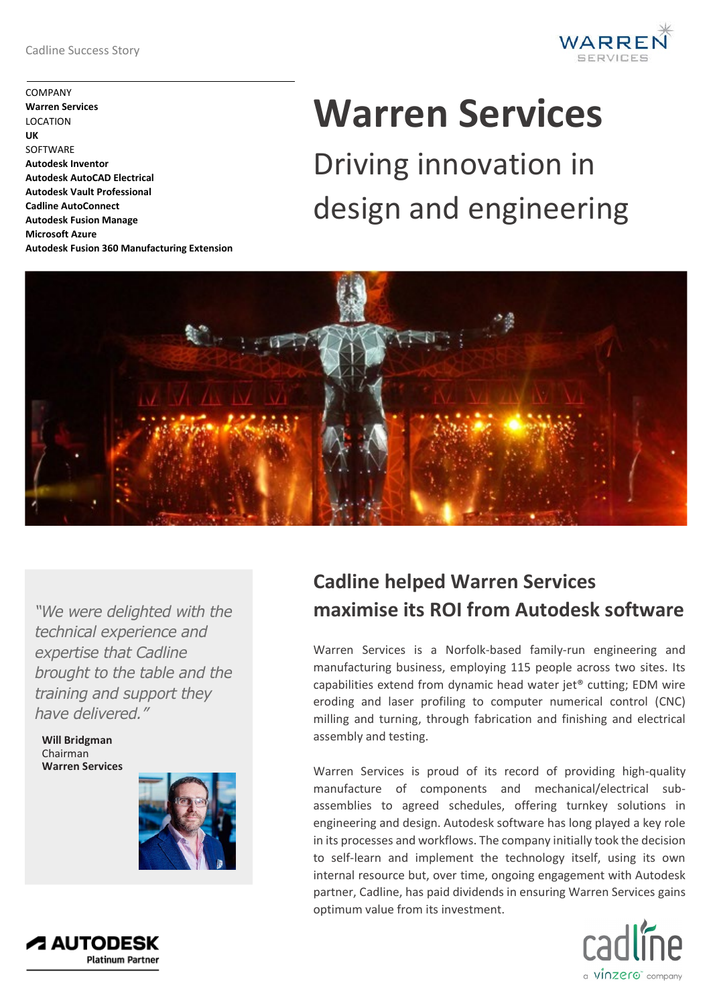COMPANY **Warren Services** LOCATION **UK SOFTWARE Autodesk Inventor Autodesk AutoCAD Electrical Autodesk Vault Professional Cadline AutoConnect Autodesk Fusion Manage Microsoft Azure Autodesk Fusion 360 Manufacturing Extension**



# **Warren Services**

Driving innovation in design and engineering



*"We were delighted with the technical experience and expertise that Cadline brought to the table and the training and support they have delivered."*

**Will Bridgman** Chairman **Warren Services**



## **Cadline helped Warren Services maximise its ROI from Autodesk software**

Warren Services is a Norfolk-based family-run engineering and manufacturing business, employing 115 people across two sites. Its capabilities extend from dynamic head water jet® cutting; EDM wire eroding and laser profiling to computer numerical control (CNC) milling and turning, through fabrication and finishing and electrical assembly and testing.

Warren Services is proud of its record of providing high-quality manufacture of components and mechanical/electrical subassemblies to agreed schedules, offering turnkey solutions in engineering and design. Autodesk software has long played a key role in its processes and workflows. The company initially took the decision to self-learn and implement the technology itself, using its own internal resource but, over time, ongoing engagement with Autodesk partner, Cadline, has paid dividends in ensuring Warren Services gains optimum value from its investment.



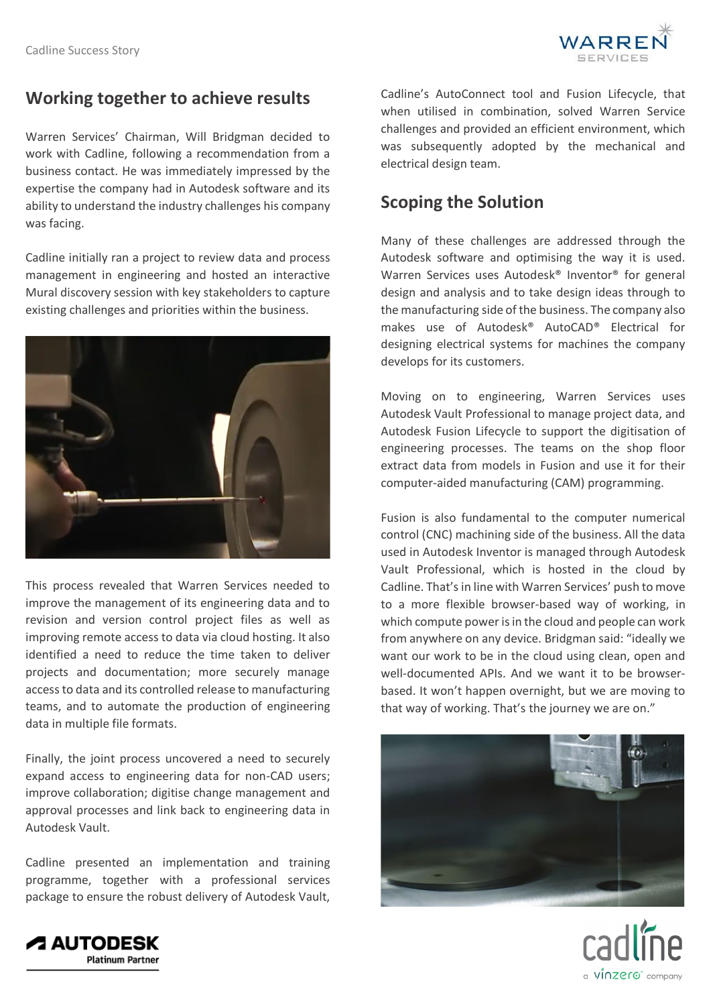

### **Working together to achieve results**

Warren Services' Chairman, Will Bridgman decided to work with Cadline, following a recommendation from a business contact. He was immediately impressed by the expertise the company had in Autodesk software and its ability to understand the industry challenges his company was facing.

Cadline initially ran a project to review data and process management in engineering and hosted an interactive Mural discovery session with key stakeholders to capture existing challenges and priorities within the business.



This process revealed that Warren Services needed to improve the management of its engineering data and to revision and version control project files as well as improving remote access to data via cloud hosting. It also identified a need to reduce the time taken to deliver projects and documentation; more securely manage access to data and its controlled release to manufacturing teams, and to automate the production of engineering data in multiple file formats.

Finally, the joint process uncovered a need to securely expand access to engineering data for non-CAD users; improve collaboration; digitise change management and approval processes and link back to engineering data in Autodesk Vault.

Cadline presented an implementation and training programme, together with a professional services package to ensure the robust delivery of Autodesk Vault, Cadline's AutoConnect tool and Fusion Lifecycle, that when utilised in combination, solved Warren Service challenges and provided an efficient environment, which was subsequently adopted by the mechanical and electrical design team.

#### **Scoping the Solution**

Many of these challenges are addressed through the Autodesk software and optimising the way it is used. Warren Services uses Autodesk® Inventor® for general design and analysis and to take design ideas through to the manufacturing side of the business. The company also makes use of Autodesk® AutoCAD® Electrical for designing electrical systems for machines the company develops for its customers.

Moving on to engineering, Warren Services uses Autodesk Vault Professional to manage project data, and Autodesk Fusion Lifecycle to support the digitisation of engineering processes. The teams on the shop floor extract data from models in Fusion and use it for their computer-aided manufacturing (CAM) programming.

Fusion is also fundamental to the computer numerical control (CNC) machining side of the business. All the data used in Autodesk Inventor is managed through Autodesk Vault Professional, which is hosted in the cloud by Cadline. That's in line with Warren Services' push to move to a more flexible browser-based way of working, in which compute power is in the cloud and people can work from anywhere on any device. Bridgman said: "ideally we want our work to be in the cloud using clean, open and well-documented APIs. And we want it to be browserbased. It won't happen overnight, but we are moving to that way of working. That's the journey we are on."